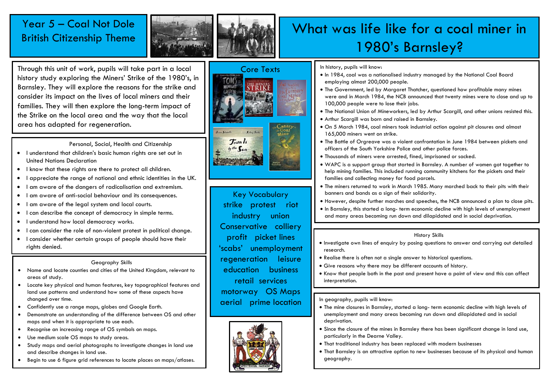### Year 5 – Coal Not Dole British Citizenship Theme



Through this unit of work, pupils will take part in a local history study exploring the Miners' Strike of the 1980's, in Barnsley. They will explore the reasons for the strike and consider its impact on the lives of local miners and their families. They will then explore the long-term impact of the Strike on the local area and the way that the local area has adapted for regeneration.

Personal, Social, Health and Citizenship

- I understand that children's basic human rights are set out in United Nations Declaration
- I know that these rights are there to protect all children.
- I appreciate the range of national and ethnic identities in the UK.
- I am aware of the dangers of radicalisation and extremism.
- I am aware of anti-social behaviour and its consequences.
- I am aware of the legal system and local courts.
- I can describe the concept of democracy in simple terms.
- I understand how local democracy works.
- I can consider the role of non-violent protest in political change.
- I consider whether certain groups of people should have their rights denied.

#### Geography Skills

- Name and locate counties and cities of the United Kingdom, relevant to areas of study.
- Locate key physical and human features, key topographical features and land use patterns and understand how some of these aspects have changed over time.
- Confidently use a range maps, globes and Google Earth.
- Demonstrate an understanding of the difference between OS and other maps and when it is appropriate to use each.
- Recognise an increasing range of OS symbols on maps.
- Use medium scale OS maps to study areas.
- Study maps and aerial photographs to investigate changes in land use and describe changes in land use.
- Begin to use 6 figure grid references to locate places on maps/atlases.





Key Vocabulary strike protest riot industry union Conservative colliery profit picket lines 'scabs' unemployment regeneration leisure education business retail services motorway OS Maps aerial prime location



## What was life like for a coal miner in 1980's Barnsley?

In history, pupils will know:

- In 1984, coal was a nationalised industry managed by the National Coal Board employing almost 200,000 people.
- The Government, led by Margaret Thatcher, questioned how profitable many mines were and in March 1984, the NCB announced that twenty mines were to close and up to 100,000 people were to lose their jobs.
- The National Union of Mineworkers, led by Arthur Scargill, and other unions resisted this.
- Arthur Scargill was born and raised in Barnsley.
- On 5 March 1984, coal miners took industrial action against pit closures and almost 165,000 miners went on strike.
- The Battle of Orgreave was a violent confrontation in June 1984 between pickets and officers of the South Yorkshire Police and other police forces.
- Thousands of miners were arrested, fined, imprisoned or sacked.
- WAPC is a support group that started in Barnsley. A number of women got together to help mining families. This included running community kitchens for the pickets and their families and collecting money for food parcels.
- The miners returned to work in March 1985. Many marched back to their pits with their banners and bands as a sign of their solidarity.
- However, despite further marches and speeches, the NCB announced a plan to close pits.
- In Barnsley, this started a long- term economic decline with high levels of unemployment and many areas becoming run down and dilapidated and in social deprivation.

#### History Skills

- Investigate own lines of enquiry by posing questions to answer and carrying out detailed research.
- Realise there is often not a single answer to historical questions.
- Give reasons why there may be different accounts of history.
- Know that people both in the past and present have a point of view and this can affect interpretation.

#### In geography, pupils will know:

- The mine closures in Barnsley, started a long- term economic decline with high levels of unemployment and many areas becoming run down and dilapidated and in social deprivation.
- Since the closure of the mines in Barnsley there has been significant change in land use, particularly in the Dearne Valley.
- That traditional industry has been replaced with modern businesses
- That Barnsley is an attractive option to new businesses because of its physical and human geography.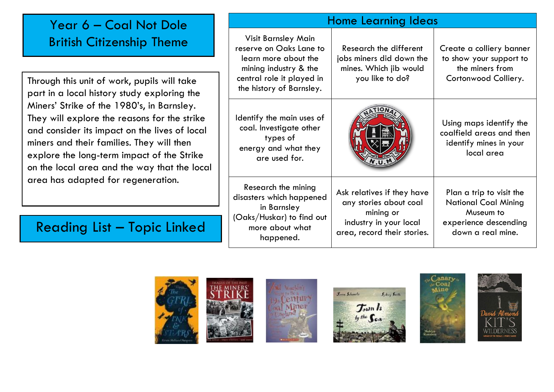## Year 6 – Coal Not Dole British Citizenship Theme

Through this unit of work, pupils will take part in a local history study exploring the Miners' Strike of the 1980's, in Barnsley. They will explore the reasons for the strike and consider its impact on the lives of local miners and their families. They will then explore the long-term impact of the Strike on the local area and the way that the local area has adapted for regeneration.

## Reading List – Topic Linked

| Home Learning Ideas                                                                                                                                             |                                                                                                                            |                                                                                                             |
|-----------------------------------------------------------------------------------------------------------------------------------------------------------------|----------------------------------------------------------------------------------------------------------------------------|-------------------------------------------------------------------------------------------------------------|
| <b>Visit Barnsley Main</b><br>reserve on Oaks Lane to<br>learn more about the<br>mining industry & the<br>central role it played in<br>the history of Barnsley. | Research the different<br>jobs miners did down the<br>mines. Which jib would<br>you like to do?                            | Create a colliery banner<br>to show your support to<br>the miners from<br>Cortonwood Colliery.              |
| Identify the main uses of<br>coal. Investigate other<br>types of<br>energy and what they<br>are used for.                                                       |                                                                                                                            | Using maps identify the<br>coalfield areas and then<br>identify mines in your<br>local area                 |
| Research the mining<br>disasters which happened<br>in Barnsley<br>(Oaks/Huskar) to find out<br>more about what<br>happened.                                     | Ask relatives if they have<br>any stories about coal<br>mining or<br>industry in your local<br>area, record their stories. | Plan a trip to visit the<br>National Coal Mining<br>Museum to<br>experience descending<br>down a real mine. |